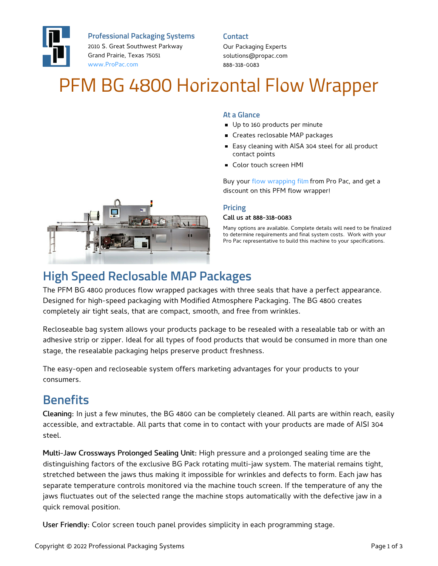

**Professional Packaging Systems**

2010 S. Great Southwest Parkway Grand Prairie, Texas 75051 [www.ProPac.com](https://www.propac.com/)

#### **Contact**

Our Packaging Experts solutions@propac.com 888-318-0083

# PFM BG 4800 Horizontal Flow Wrapper

#### **At a Glance**

- Up to 160 products per minute
- **Creates reclosable MAP packages**
- Easy cleaning with AISA 304 steel for all product contact points
- **Color touch screen HMI**

Buy your flow [wrapping](file:///custom-materials/fin-seal-flow-wrapping-film/) film from Pro Pac, and get a discount on this PFM flow wrapper!

#### **Pricing**

#### Call us at 888-318-0083

Many options are available. Complete details will need to be finalized to determine requirements and final system costs. Work with your Pro Pac representative to build this machine to your specifications.



# **High Speed Reclosable MAP Packages**

The PFM BG 4800 produces flow wrapped packages with three seals that have a perfect appearance. Designed for high-speed packaging with Modified Atmosphere Packaging. The BG 4800 creates completely air tight seals, that are compact, smooth, and free from wrinkles.

Recloseable bag system allows your products package to be resealed with a resealable tab or with an adhesive strip or zipper. Ideal for all types of food products that would be consumed in more than one stage, the resealable packaging helps preserve product freshness.

The easy-open and recloseable system offers marketing advantages for your products to your consumers.

### **Benefits**

Cleaning: In just a few minutes, the BG 4800 can be completely cleaned. All parts are within reach, easily accessible, and extractable. All parts that come in to contact with your products are made of AISI 304 steel.

Multi-Jaw Crossways Prolonged Sealing Unit: High pressure and a prolonged sealing time are the distinguishing factors of the exclusive BG Pack rotating multi-jaw system. The material remains tight, stretched between the jaws thus making it impossible for wrinkles and defects to form. Each jaw has separate temperature controls monitored via the machine touch screen. If the temperature of any the jaws fluctuates out of the selected range the machine stops automatically with the defective jaw in a quick removal position.

User Friendly: Color screen touch panel provides simplicity in each programming stage.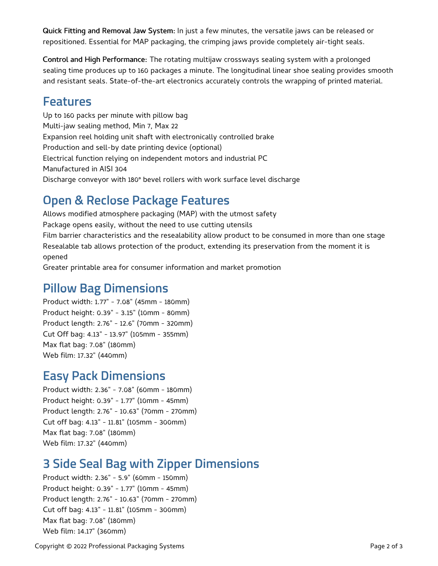Quick Fitting and Removal Jaw System: In just a few minutes, the versatile jaws can be released or repositioned. Essential for MAP packaging, the crimping jaws provide completely air-tight seals.

Control and High Performance: The rotating multijaw crossways sealing system with a prolonged sealing time produces up to 160 packages a minute. The longitudinal linear shoe sealing provides smooth and resistant seals. State-of-the-art electronics accurately controls the wrapping of printed material.

### **Features**

Up to 160 packs per minute with pillow bag Multi-jaw sealing method, Min 7, Max 22 Expansion reel holding unit shaft with electronically controlled brake Production and sell-by date printing device (optional) Electrical function relying on independent motors and industrial PC Manufactured in AISI 304 Discharge conveyor with 180° bevel rollers with work surface level discharge

# **Open & Reclose Package Features**

Allows modified atmosphere packaging (MAP) with the utmost safety Package opens easily, without the need to use cutting utensils Film barrier characteristics and the resealability allow product to be consumed in more than one stage Resealable tab allows protection of the product, extending its preservation from the moment it is opened

Greater printable area for consumer information and market promotion

### **Pillow Bag Dimensions**

Product width: 1.77" - 7.08" (45mm - 180mm) Product height: 0.39" - 3.15" (10mm - 80mm) Product length: 2.76" - 12.6" (70mm - 320mm) Cut Off bag: 4.13" - 13.97" (105mm - 355mm) Max flat bag: 7.08" (180mm) Web film: 17.32" (440mm)

### **Easy Pack Dimensions**

Product width: 2.36" - 7.08" (60mm - 180mm) Product height: 0.39" - 1.77" (10mm - 45mm) Product length: 2.76" - 10.63" (70mm - 270mm) Cut off bag: 4.13" - 11.81" (105mm - 300mm) Max flat bag: 7.08" (180mm) Web film: 17.32" (440mm)

## **3 Side Seal Bag with Zipper Dimensions**

Product width: 2.36" - 5.9" (60mm - 150mm) Product height: 0.39" - 1.77" (10mm - 45mm) Product length: 2.76" - 10.63" (70mm - 270mm) Cut off bag: 4.13" - 11.81" (105mm - 300mm) Max flat bag: 7.08" (180mm) Web film: 14.17" (360mm)